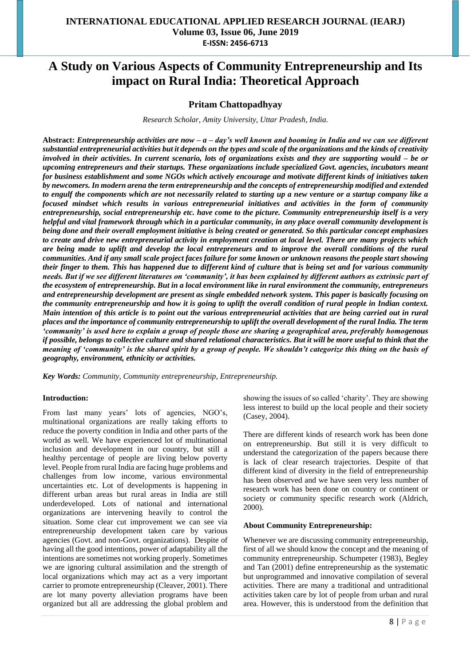# **A Study on Various Aspects of Community Entrepreneurship and Its impact on Rural India: Theoretical Approach**

# **Pritam Chattopadhyay**

*Research Scholar, Amity University, Uttar Pradesh, India.*

**Abstract:** *Entrepreneurship activities are now – a – day's well known and booming in India and we can see different substantial entrepreneurial activities but it depends on the types and scale of the organizations and the kinds of creativity involved in their activities. In current scenario, lots of organizations exists and they are supporting would – be or upcoming entrepreneurs and their startups. These organizations include specialized Govt. agencies, incubators meant for business establishment and some NGOs which actively encourage and motivate different kinds of initiatives taken by newcomers. In modern arena the term entrepreneurship and the concepts of entrepreneurship modified and extended to engulf the components which are not necessarily related to starting up a new venture or a startup company like a focused mindset which results in various entrepreneurial initiatives and activities in the form of community entrepreneurship, social entrepreneurship etc. have come to the picture. Community entrepreneurship itself is a very helpful and vital framework through which in a particular community, in any place overall community development is being done and their overall employment initiative is being created or generated. So this particular concept emphasizes to create and drive new entrepreneurial activity in employment creation at local level. There are many projects which are being made to uplift and develop the local entrepreneurs and to improve the overall conditions of the rural communities. And if any small scale project faces failure for some known or unknown reasons the people start showing their finger to them. This has happened due to different kind of culture that is being set and for various community needs. But if we see different literatures on 'community', it has been explained by different authors as extrinsic part of the ecosystem of entrepreneurship. But in a local environment like in rural environment the community, entrepreneurs and entrepreneurship development are present as single embedded network system. This paper is basically focusing on the community entrepreneurship and how it is going to uplift the overall condition of rural people in Indian context. Main intention of this article is to point out the various entrepreneurial activities that are being carried out in rural places and the importance of community entrepreneurship to uplift the overall development of the rural India. The term 'community' is used here to explain a group of people those are sharing a geographical area, preferably homogenous if possible, belongs to collective culture and shared relational characteristics. But it will be more useful to think that the meaning of 'community' is the shared spirit by a group of people. We shouldn't categorize this thing on the basis of geography, environment, ethnicity or activities.* 

*Key Words: Community, Community entrepreneurship, Entrepreneurship.*

#### **Introduction:**

From last many years' lots of agencies, NGO's, multinational organizations are really taking efforts to reduce the poverty condition in India and other parts of the world as well. We have experienced lot of multinational inclusion and development in our country, but still a healthy percentage of people are living below poverty level. People from rural India are facing huge problems and challenges from low income, various environmental uncertainties etc. Lot of developments is happening in different urban areas but rural areas in India are still underdeveloped. Lots of national and international organizations are intervening heavily to control the situation. Some clear cut improvement we can see via entrepreneurship development taken care by various agencies (Govt. and non-Govt. organizations). Despite of having all the good intentions, power of adaptability all the intentions are sometimes not working properly. Sometimes we are ignoring cultural assimilation and the strength of local organizations which may act as a very important carrier to promote entrepreneurship (Cleaver, 2001). There are lot many poverty alleviation programs have been organized but all are addressing the global problem and

showing the issues of so called 'charity'. They are showing less interest to build up the local people and their society (Casey, 2004).

There are different kinds of research work has been done on entrepreneurship. But still it is very difficult to understand the categorization of the papers because there is lack of clear research trajectories. Despite of that different kind of diversity in the field of entrepreneurship has been observed and we have seen very less number of research work has been done on country or continent or society or community specific research work (Aldrich, 2000).

#### **About Community Entrepreneurship:**

Whenever we are discussing community entrepreneurship, first of all we should know the concept and the meaning of community entrepreneurship. Schumpeter (1983), Begley and Tan (2001) define entrepreneurship as the systematic but unprogrammed and innovative compilation of several activities. There are many a traditional and untraditional activities taken care by lot of people from urban and rural area. However, this is understood from the definition that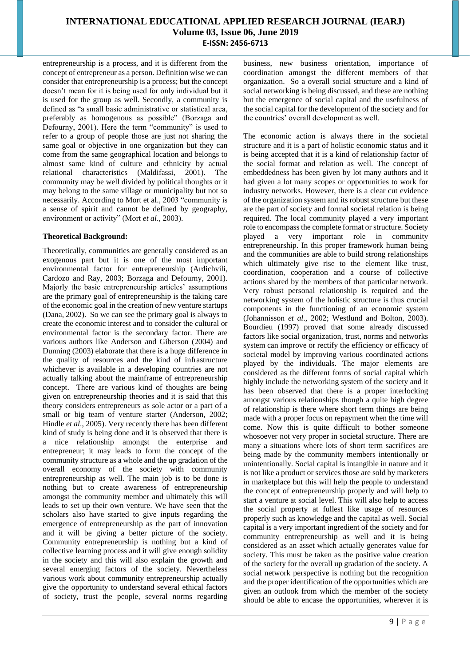entrepreneurship is a process, and it is different from the concept of entrepreneur as a person. Definition wise we can consider that entrepreneurship is a process; but the concept doesn't mean for it is being used for only individual but it is used for the group as well. Secondly, a community is defined as "a small basic administrative or statistical area, preferably as homogenous as possible" (Borzaga and Defourny, 2001). Here the term "community" is used to refer to a group of people those are just not sharing the same goal or objective in one organization but they can come from the same geographical location and belongs to almost same kind of culture and ethnicity by actual relational characteristics (Maldifassi, 2001). The community may be well divided by political thoughts or it may belong to the same village or municipality but not so necessarily. According to Mort et al., 2003 "community is a sense of spirit and cannot be defined by geography, environment or activity" (Mort *et al*., 2003).

## **Theoretical Background:**

Theoretically, communities are generally considered as an exogenous part but it is one of the most important environmental factor for entrepreneurship (Ardichvili, Cardozo and Ray, 2003; Borzaga and Defourny, 2001). Majorly the basic entrepreneurship articles' assumptions are the primary goal of entrepreneurship is the taking care of the economic goal in the creation of new venture startups (Dana, 2002). So we can see the primary goal is always to create the economic interest and to consider the cultural or environmental factor is the secondary factor. There are various authors like Anderson and Giberson (2004) and Dunning (2003) elaborate that there is a huge difference in the quality of resources and the kind of infrastructure whichever is available in a developing countries are not actually talking about the mainframe of entrepreneurship concept. There are various kind of thoughts are being given on entrepreneurship theories and it is said that this theory considers entrepreneurs as sole actor or a part of a small or big team of venture starter (Anderson, 2002; Hindle *et al*., 2005). Very recently there has been different kind of study is being done and it is observed that there is a nice relationship amongst the enterprise and entrepreneur; it may leads to form the concept of the community structure as a whole and the up gradation of the overall economy of the society with community entrepreneurship as well. The main job is to be done is nothing but to create awareness of entrepreneurship amongst the community member and ultimately this will leads to set up their own venture. We have seen that the scholars also have started to give inputs regarding the emergence of entrepreneurship as the part of innovation and it will be giving a better picture of the society. Community entrepreneurship is nothing but a kind of collective learning process and it will give enough solidity in the society and this will also explain the growth and several emerging factors of the society. Nevertheless various work about community entrepreneurship actually give the opportunity to understand several ethical factors of society, trust the people, several norms regarding

business, new business orientation, importance of coordination amongst the different members of that organization. So a overall social structure and a kind of social networking is being discussed, and these are nothing but the emergence of social capital and the usefulness of the social capital for the development of the society and for the countries' overall development as well.

The economic action is always there in the societal structure and it is a part of holistic economic status and it is being accepted that it is a kind of relationship factor of the social format and relation as well. The concept of embeddedness has been given by lot many authors and it had given a lot many scopes or opportunities to work for industry networks. However, there is a clear cut evidence of the organization system and its robust structure but these are the part of society and formal societal relation is being required. The local community played a very important role to encompass the complete format or structure. Society played a very important role in community entrepreneurship. In this proper framework human being and the communities are able to build strong relationships which ultimately give rise to the element like trust, coordination, cooperation and a course of collective actions shared by the members of that particular network. Very robust personal relationship is required and the networking system of the holistic structure is thus crucial components in the functioning of an economic system (Johannisson *et al*., 2002; Westlund and Bolton, 2003). Bourdieu (1997) proved that some already discussed factors like social organization, trust, norms and networks system can improve or rectify the efficiency or efficacy of societal model by improving various coordinated actions played by the individuals. The major elements are considered as the different forms of social capital which highly include the networking system of the society and it has been observed that there is a proper interlocking amongst various relationships though a quite high degree of relationship is there where short term things are being made with a proper focus on repayment when the time will come. Now this is quite difficult to bother someone whosoever not very proper in societal structure. There are many a situations where lots of short term sacrifices are being made by the community members intentionally or unintentionally. Social capital is intangible in nature and it is not like a product or services those are sold by marketers in marketplace but this will help the people to understand the concept of entrepreneurship properly and will help to start a venture at social level. This will also help to access the social property at fullest like usage of resources properly such as knowledge and the capital as well. Social capital is a very important ingredient of the society and for community entrepreneurship as well and it is being considered as an asset which actually generates value for society. This must be taken as the positive value creation of the society for the overall up gradation of the society. A social network perspective is nothing but the recognition and the proper identification of the opportunities which are given an outlook from which the member of the society should be able to encase the opportunities, wherever it is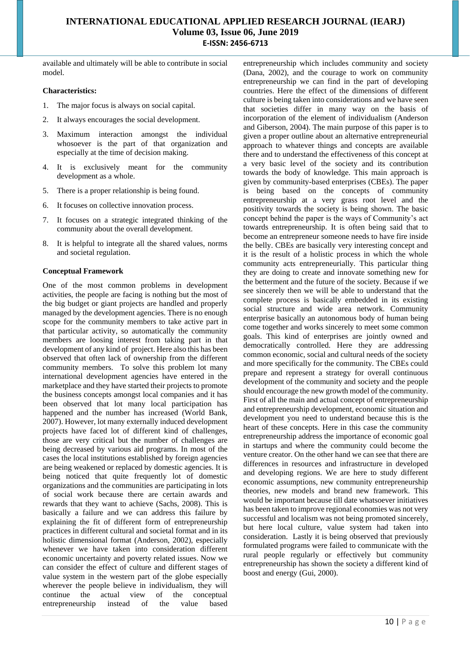available and ultimately will be able to contribute in social model.

### **Characteristics:**

- 1. The major focus is always on social capital.
- 2. It always encourages the social development.
- 3. Maximum interaction amongst the individual whosoever is the part of that organization and especially at the time of decision making.
- 4. It is exclusively meant for the community development as a whole.
- 5. There is a proper relationship is being found.
- 6. It focuses on collective innovation process.
- 7. It focuses on a strategic integrated thinking of the community about the overall development.
- 8. It is helpful to integrate all the shared values, norms and societal regulation.

## **Conceptual Framework**

One of the most common problems in development activities, the people are facing is nothing but the most of the big budget or giant projects are handled and properly managed by the development agencies. There is no enough scope for the community members to take active part in that particular activity, so automatically the community members are loosing interest from taking part in that development of any kind of project. Here also this has been observed that often lack of ownership from the different community members. To solve this problem lot many international development agencies have entered in the marketplace and they have started their projects to promote the business concepts amongst local companies and it has been observed that lot many local participation has happened and the number has increased (World Bank, 2007). However, lot many externally induced development projects have faced lot of different kind of challenges, those are very critical but the number of challenges are being decreased by various aid programs. In most of the cases the local institutions established by foreign agencies are being weakened or replaced by domestic agencies. It is being noticed that quite frequently lot of domestic organizations and the communities are participating in lots of social work because there are certain awards and rewards that they want to achieve (Sachs, 2008). This is basically a failure and we can address this failure by explaining the fit of different form of entrepreneurship practices in different cultural and societal format and in its holistic dimensional format (Anderson, 2002), especially whenever we have taken into consideration different economic uncertainty and poverty related issues. Now we can consider the effect of culture and different stages of value system in the western part of the globe especially wherever the people believe in individualism, they will continue the actual view of the conceptual entrepreneurship instead of the value based

entrepreneurship which includes community and society (Dana, 2002), and the courage to work on community entrepreneurship we can find in the part of developing countries. Here the effect of the dimensions of different culture is being taken into considerations and we have seen that societies differ in many way on the basis of incorporation of the element of individualism (Anderson and Giberson, 2004). The main purpose of this paper is to given a proper outline about an alternative entrepreneurial approach to whatever things and concepts are available there and to understand the effectiveness of this concept at a very basic level of the society and its contribution towards the body of knowledge. This main approach is given by community-based enterprises (CBEs). The paper is being based on the concepts of community entrepreneurship at a very grass root level and the positivity towards the society is being shown. The basic concept behind the paper is the ways of Community's act towards entrepreneurship. It is often being said that to become an entrepreneur someone needs to have fire inside the belly. CBEs are basically very interesting concept and it is the result of a holistic process in which the whole community acts entrepreneurially. This particular thing they are doing to create and innovate something new for the betterment and the future of the society. Because if we see sincerely then we will be able to understand that the complete process is basically embedded in its existing social structure and wide area network. Community enterprise basically an autonomous body of human being come together and works sincerely to meet some common goals. This kind of enterprises are jointly owned and democratically controlled. Here they are addressing common economic, social and cultural needs of the society and more specifically for the community. The CBEs could prepare and represent a strategy for overall continuous development of the community and society and the people should encourage the new growth model of the community. First of all the main and actual concept of entrepreneurship and entrepreneurship development, economic situation and development you need to understand because this is the heart of these concepts. Here in this case the community entrepreneurship address the importance of economic goal in startups and where the community could become the venture creator. On the other hand we can see that there are differences in resources and infrastructure in developed and developing regions. We are here to study different economic assumptions, new community entrepreneurship theories, new models and brand new framework. This would be important because till date whatsoever initiatives has been taken to improve regional economies was not very successful and localism was not being promoted sincerely, but here local culture, value system had taken into consideration. Lastly it is being observed that previously formulated programs were failed to communicate with the rural people regularly or effectively but community entrepreneurship has shown the society a different kind of boost and energy (Gui, 2000).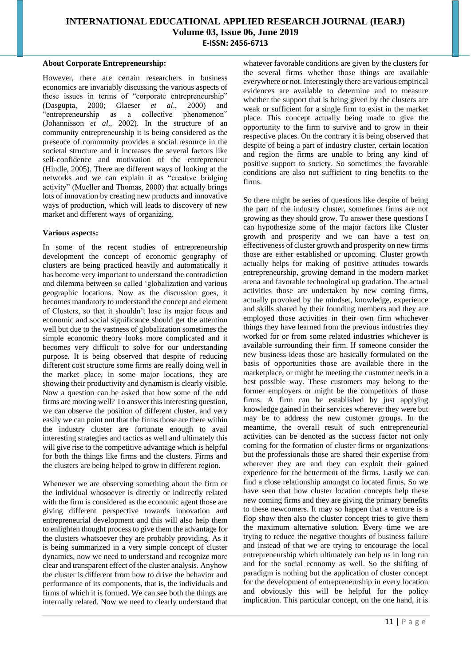### **About Corporate Entrepreneurship:**

However, there are certain researchers in business economics are invariably discussing the various aspects of these issues in terms of "corporate entrepreneurship" (Dasgupta, 2000; Glaeser *et al*., 2000) and "entrepreneurship as a collective phenomenon" (Johannisson *et al*., 2002). In the structure of an community entrepreneurship it is being considered as the presence of community provides a social resource in the societal structure and it increases the several factors like self-confidence and motivation of the entrepreneur (Hindle, 2005). There are different ways of looking at the networks and we can explain it as "creative bridging activity" (Mueller and Thomas, 2000) that actually brings lots of innovation by creating new products and innovative ways of production, which will leads to discovery of new market and different ways of organizing.

## **Various aspects:**

In some of the recent studies of entrepreneurship development the concept of economic geography of clusters are being practiced heavily and automatically it has become very important to understand the contradiction and dilemma between so called 'globalization and various geographic locations. Now as the discussion goes, it becomes mandatory to understand the concept and element of Clusters, so that it shouldn't lose its major focus and economic and social significance should get the attention well but due to the vastness of globalization sometimes the simple economic theory looks more complicated and it becomes very difficult to solve for our understanding purpose. It is being observed that despite of reducing different cost structure some firms are really doing well in the market place, in some major locations, they are showing their productivity and dynamism is clearly visible. Now a question can be asked that how some of the odd firms are moving well? To answer this interesting question, we can observe the position of different cluster, and very easily we can point out that the firms those are there within the industry cluster are fortunate enough to avail interesting strategies and tactics as well and ultimately this will give rise to the competitive advantage which is helpful for both the things like firms and the clusters. Firms and the clusters are being helped to grow in different region.

Whenever we are observing something about the firm or the individual whosoever is directly or indirectly related with the firm is considered as the economic agent those are giving different perspective towards innovation and entrepreneurial development and this will also help them to enlighten thought process to give them the advantage for the clusters whatsoever they are probably providing. As it is being summarized in a very simple concept of cluster dynamics, now we need to understand and recognize more clear and transparent effect of the cluster analysis. Anyhow the cluster is different from how to drive the behavior and performance of its components, that is, the individuals and firms of which it is formed. We can see both the things are internally related. Now we need to clearly understand that

whatever favorable conditions are given by the clusters for the several firms whether those things are available everywhere or not. Interestingly there are various empirical evidences are available to determine and to measure whether the support that is being given by the clusters are weak or sufficient for a single firm to exist in the market place. This concept actually being made to give the opportunity to the firm to survive and to grow in their respective places. On the contrary it is being observed that despite of being a part of industry cluster, certain location and region the firms are unable to bring any kind of positive support to society. So sometimes the favorable conditions are also not sufficient to ring benefits to the firms.

So there might be series of questions like despite of being the part of the industry cluster, sometimes firms are not growing as they should grow. To answer these questions I can hypothesize some of the major factors like Cluster growth and prosperity and we can have a test on effectiveness of cluster growth and prosperity on new firms those are either established or upcoming. Cluster growth actually helps for making of positive attitudes towards entrepreneurship, growing demand in the modern market arena and favorable technological up gradation. The actual activities those are undertaken by new coming firms, actually provoked by the mindset, knowledge, experience and skills shared by their founding members and they are employed those activities in their own firm whichever things they have learned from the previous industries they worked for or from some related industries whichever is available surrounding their firm. If someone consider the new business ideas those are basically formulated on the basis of opportunities those are available there in the marketplace, or might be meeting the customer needs in a best possible way. These customers may belong to the former employers or might be the competitors of those firms. A firm can be established by just applying knowledge gained in their services wherever they were but may be to address the new customer groups. In the meantime, the overall result of such entrepreneurial activities can be denoted as the success factor not only coming for the formation of cluster firms or organizations but the professionals those are shared their expertise from wherever they are and they can exploit their gained experience for the betterment of the firms. Lastly we can find a close relationship amongst co located firms. So we have seen that how cluster location concepts help these new coming firms and they are giving the primary benefits to these newcomers. It may so happen that a venture is a flop show then also the cluster concept tries to give them the maximum alternative solution. Every time we are trying to reduce the negative thoughts of business failure and instead of that we are trying to encourage the local entrepreneurship which ultimately can help us in long run and for the social economy as well. So the shifting of paradigm is nothing but the application of cluster concept for the development of entrepreneurship in every location and obviously this will be helpful for the policy implication. This particular concept, on the one hand, it is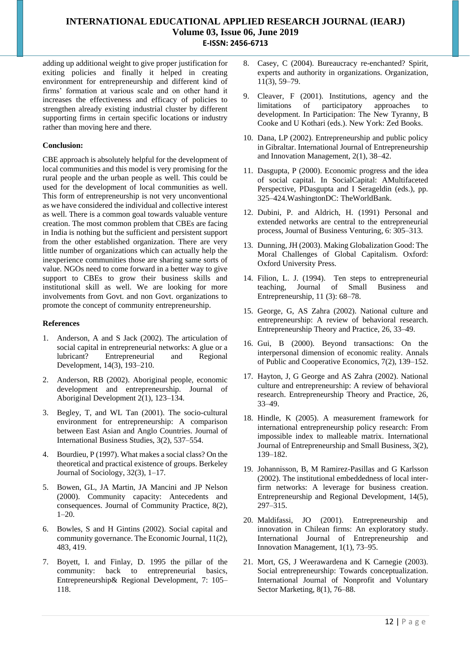adding up additional weight to give proper justification for exiting policies and finally it helped in creating environment for entrepreneurship and different kind of firms' formation at various scale and on other hand it increases the effectiveness and efficacy of policies to strengthen already existing industrial cluster by different supporting firms in certain specific locations or industry rather than moving here and there.

## **Conclusion:**

CBE approach is absolutely helpful for the development of local communities and this model is very promising for the rural people and the urban people as well. This could be used for the development of local communities as well. This form of entrepreneurship is not very unconventional as we have considered the individual and collective interest as well. There is a common goal towards valuable venture creation. The most common problem that CBEs are facing in India is nothing but the sufficient and persistent support from the other established organization. There are very little number of organizations which can actually help the inexperience communities those are sharing same sorts of value. NGOs need to come forward in a better way to give support to CBEs to grow their business skills and institutional skill as well. We are looking for more involvements from Govt. and non Govt. organizations to promote the concept of community entrepreneurship.

#### **References**

- 1. Anderson, A and S Jack (2002). The articulation of social capital in entrepreneurial networks: A glue or a lubricant? Entrepreneurial and Regional Development, 14(3), 193–210.
- 2. Anderson, RB (2002). Aboriginal people, economic development and entrepreneurship. Journal of Aboriginal Development 2(1), 123–134.
- 3. Begley, T, and WL Tan (2001). The socio-cultural environment for entrepreneurship: A comparison between East Asian and Anglo Countries. Journal of International Business Studies, 3(2), 537–554.
- 4. Bourdieu, P (1997). What makes a social class? On the theoretical and practical existence of groups. Berkeley Journal of Sociology, 32(3), 1–17.
- 5. Bowen, GL, JA Martin, JA Mancini and JP Nelson (2000). Community capacity: Antecedents and consequences. Journal of Community Practice, 8(2), 1–20.
- 6. Bowles, S and H Gintins (2002). Social capital and community governance. The Economic Journal, 11(2), 483, 419.
- 7. Boyett, I. and Finlay, D. 1995 the pillar of the community: back to entrepreneurial basics, Entrepreneurship& Regional Development, 7: 105– 118.
- 8. Casey, C (2004). Bureaucracy re-enchanted? Spirit, experts and authority in organizations. Organization, 11(3), 59–79.
- 9. Cleaver, F (2001). Institutions, agency and the limitations of participatory approaches to development. In Participation: The New Tyranny, B Cooke and U Kothari (eds.). New York: Zed Books.
- 10. Dana, LP (2002). Entrepreneurship and public policy in Gibraltar. International Journal of Entrepreneurship and Innovation Management, 2(1), 38–42.
- 11. Dasgupta, P (2000). Economic progress and the idea of social capital. In SocialCapital: AMultifaceted Perspective, PDasgupta and I Serageldin (eds.), pp. 325–424.WashingtonDC: TheWorldBank.
- 12. Dubini, P. and Aldrich, H. (1991) Personal and extended networks are central to the entrepreneurial process, Journal of Business Venturing, 6: 305–313.
- 13. Dunning, JH (2003). Making Globalization Good: The Moral Challenges of Global Capitalism. Oxford: Oxford University Press.
- 14. Filion, L. J. (1994). Ten steps to entrepreneurial teaching, Journal of Small Business and Entrepreneurship, 11 (3): 68–78.
- 15. George, G, AS Zahra (2002). National culture and entrepreneurship: A review of behavioral research. Entrepreneurship Theory and Practice, 26, 33–49.
- 16. Gui, B (2000). Beyond transactions: On the interpersonal dimension of economic reality. Annals of Public and Cooperative Economics, 7(2), 139–152.
- 17. Hayton, J, G George and AS Zahra (2002). National culture and entrepreneurship: A review of behavioral research. Entrepreneurship Theory and Practice, 26, 33–49.
- 18. Hindle, K (2005). A measurement framework for international entrepreneurship policy research: From impossible index to malleable matrix. International Journal of Entrepreneurship and Small Business, 3(2), 139–182.
- 19. Johannisson, B, M Ramirez-Pasillas and G Karlsson (2002). The institutional embeddedness of local interfirm networks: A leverage for business creation. Entrepreneurship and Regional Development, 14(5), 297–315.
- 20. Maldifassi, JO (2001). Entrepreneurship and innovation in Chilean firms: An exploratory study. International Journal of Entrepreneurship and Innovation Management, 1(1), 73–95.
- 21. Mort, GS, J Weerawardena and K Carnegie (2003). Social entrepreneurship: Towards conceptualization. International Journal of Nonprofit and Voluntary Sector Marketing, 8(1), 76–88.